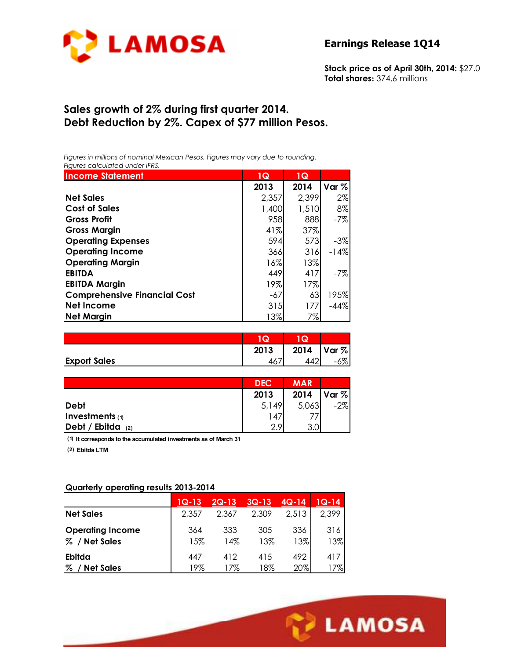

**Stock price as of April 30th, 2014:** \$27.0 **Total shares:** 374.6 millions

# **Sales growth of 2% during first quarter 2014. Debt Reduction by 2%. Capex of \$77 million Pesos.**

*Figures in millions of nominal Mexican Pesos. Figures may vary due to rounding. Figures calculated under IFRS.* 

| <b>Income Statement</b>             | 1Q    | 1Q    |        |
|-------------------------------------|-------|-------|--------|
|                                     | 2013  | 2014  | Var %  |
| <b>Net Sales</b>                    | 2,357 | 2,399 | $2\%$  |
| <b>Cost of Sales</b>                | 1,400 | 1,510 | 8%     |
| <b>Gross Profit</b>                 | 958   | 888   | $-7%$  |
| <b>Gross Margin</b>                 | 41%   | 37%   |        |
| <b>Operating Expenses</b>           | 594   | 573   | $-3%$  |
| <b>Operating Income</b>             | 366   | 316   | $-14%$ |
| <b>Operating Margin</b>             | 16%   | 13%   |        |
| <b>EBITDA</b>                       | 449   | 417   | $-7%$  |
| <b>EBITDA Margin</b>                | 19%   | 17%   |        |
| <b>Comprehensive Financial Cost</b> | -67   | 63    | 195%   |
| <b>Net Income</b>                   | 315   | 177   | $-44%$ |
| <b>Net Margin</b>                   | 13%   | 7%    |        |

|                     | $\tilde{\phantom{a}}$ | w    |          |
|---------------------|-----------------------|------|----------|
|                     | 2013                  | 2014 | Var %    |
| <b>Export Sales</b> |                       |      | $\sigma$ |

|                      | <b>DEC</b> | <b>MAR</b> |          |
|----------------------|------------|------------|----------|
|                      | 2013       | 2014       | $Var \%$ |
| <b>Debt</b>          | 5,149      | 5,063      | $-2%$    |
| Investments $(1)$    | 147        |            |          |
| Debt / Ebitda<br>(2) | $\Omega$   | ◠          |          |

**(1) It corresponds to the accumulated investments as of March 31**

**(2) Ebitda LTM**

#### **Quarterly operating results 2013-2014**

|                                          | $1Q-13$    | <u>2Q-13</u> | <u>3Q-13</u> | $4Q - 14$  | $1Q-14$    |
|------------------------------------------|------------|--------------|--------------|------------|------------|
| <b>Net Sales</b>                         | 2.357      | 2.367        | 2,309        | 2,513      | 2,399      |
| <b>Operating Income</b><br>% / Net Sales | 364<br>15% | 333<br>14%   | 305<br>13%   | 336<br>13% | 316<br>13% |
| Ebitda                                   | 447        | 412          | 415          | 492        | 417        |
| $\%$<br><b>Net Sales</b>                 | 19%        | 17%          | 18%          | 20%        | 7%         |

Ī

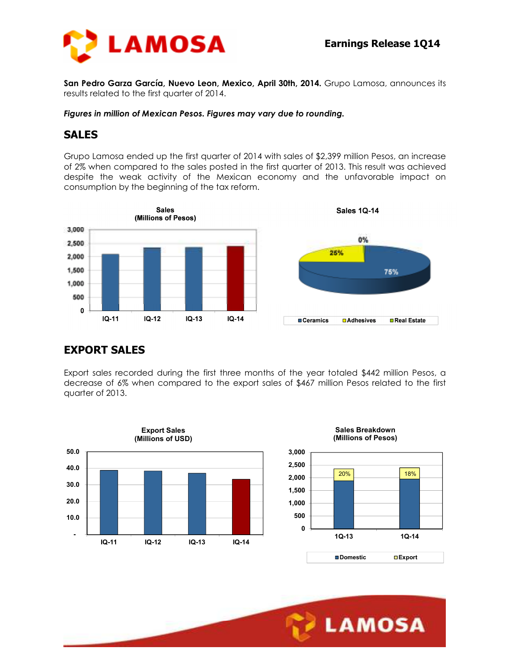

**San Pedro Garza García, Nuevo Leon, Mexico, April 30th, 2014.** Grupo Lamosa, announces its results related to the first quarter of 2014.

#### *Figures in million of Mexican Pesos. Figures may vary due to rounding.*

#### **SALES**

Grupo Lamosa ended up the first quarter of 2014 with sales of \$2,399 million Pesos, an increase of 2% when compared to the sales posted in the first quarter of 2013. This result was achieved despite the weak activity of the Mexican economy and the unfavorable impact on consumption by the beginning of the tax reform.



### **EXPORT SALES**

Export sales recorded during the first three months of the year totaled \$442 million Pesos, a decrease of 6% when compared to the export sales of \$467 million Pesos related to the first quarter of 2013.



Ī

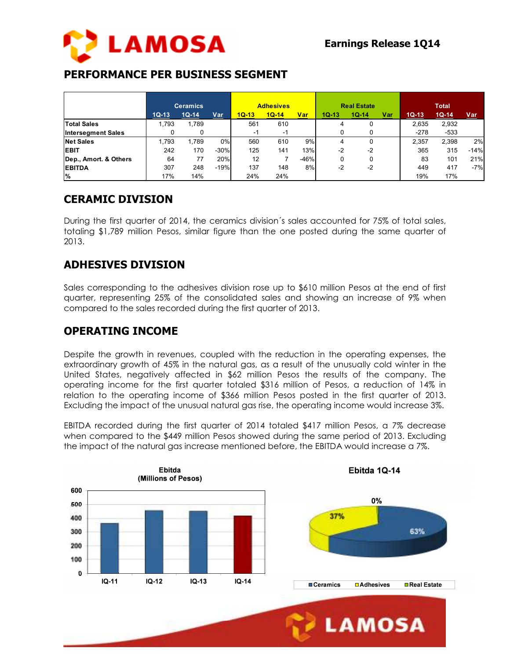

# **PERFORMANCE PER BUSINESS SEGMENT**

|                           | <b>Ceramics</b> |         |        | <b>Adhesives</b> |         |        | <b>Real Estate</b> |         |     | <b>Total</b> |         |            |
|---------------------------|-----------------|---------|--------|------------------|---------|--------|--------------------|---------|-----|--------------|---------|------------|
|                           | $1Q-13$         | $1Q-14$ | Var    | $1Q-13$          | $1Q-14$ | Var    | $1Q-13$            | $1Q-14$ | Var | $1Q-13$      | $1Q-14$ | <u>Var</u> |
| <b>Total Sales</b>        | 1.793           | 1.789   |        | 561              | 610     |        |                    |         |     | 2,635        | 2,932   |            |
| <b>Intersegment Sales</b> |                 | 0       |        | -1               | -1      |        |                    | u       |     | $-278$       | $-533$  |            |
| <b>Net Sales</b>          | 1.793           | .789    | 0%     | 560              | 610     | 9%     | 4                  | 0       |     | 2.357        | 2.398   | 2%         |
| <b>EBIT</b>               | 242             | 170     | $-30%$ | 125              | 141     | 13%    | $-2$               | $-2$    |     | 365          | 315     | $-14%$     |
| Dep., Amort. & Others     | 64              | 77      | 20%    | 12               |         | $-46%$ |                    | 0       |     | 83           | 101     | 21%        |
| <b>EBITDA</b>             | 307             | 248     | $-19%$ | 137              | 148     | 8%     | -2                 | $-2$    |     | 449          | 417     | $-7%$      |
| ا%                        | 17%             | 14%     |        | 24%              | 24%     |        |                    |         |     | 19%          | 17%     |            |

### **CERAMIC DIVISION**

During the first quarter of 2014, the ceramics division´s sales accounted for 75% of total sales, totaling \$1,789 million Pesos, similar figure than the one posted during the same quarter of 2013.

# **ADHESIVES DIVISION**

Sales corresponding to the adhesives division rose up to \$610 million Pesos at the end of first quarter, representing 25% of the consolidated sales and showing an increase of 9% when compared to the sales recorded during the first quarter of 2013.

### **OPERATING INCOME**

Despite the growth in revenues, coupled with the reduction in the operating expenses, the extraordinary growth of 45% in the natural gas, as a result of the unusually cold winter in the United States, negatively affected in \$62 million Pesos the results of the company. The operating income for the first quarter totaled \$316 million of Pesos, a reduction of 14% in relation to the operating income of \$366 million Pesos posted in the first quarter of 2013. Excluding the impact of the unusual natural gas rise, the operating income would increase 3%.

EBITDA recorded during the first quarter of 2014 totaled \$417 million Pesos, a 7% decrease when compared to the \$449 million Pesos showed during the same period of 2013. Excluding the impact of the natural gas increase mentioned before, the EBITDA would increase a 7%.

Ī





**LAMOSA** 

Ebitda 1Q-14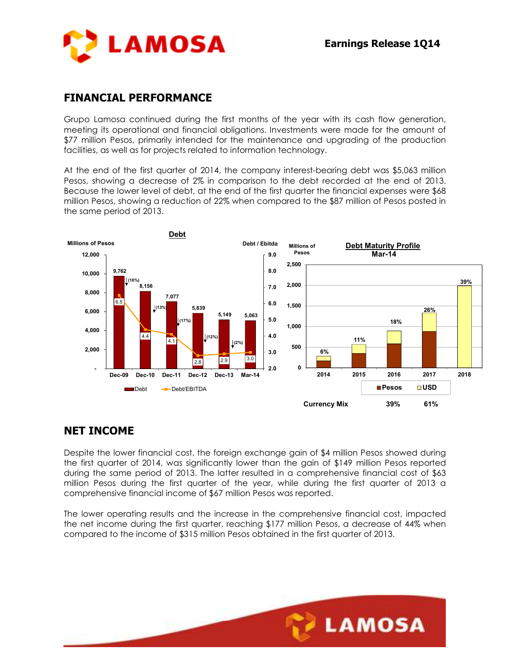

### **FINANCIAL PERFORMANCE**

Grupo Lamosa continued during the first months of the year with its cash flow generation, meeting its operational and financial obligations. Investments were made for the amount of \$77 million Pesos, primarily intended for the maintenance and upgrading of the production facilities, as well as for projects related to information technology.

At the end of the first quarter of 2014, the company interest-bearing debt was \$5,063 million Pesos, showing a decrease of 2% in comparison to the debt recorded at the end of 2013. Because the lower level of debt, at the end of the first quarter the financial expenses were \$68 million Pesos, showing a reduction of 22% when compared to the \$87 million of Pesos posted in the same period of 2013.



### **NET INCOME**

Despite the lower financial cost, the foreign exchange gain of \$4 million Pesos showed during the first quarter of 2014, was significantly lower than the gain of \$149 million Pesos reported during the same period of 2013. The latter resulted in a comprehensive financial cost of \$63 million Pesos during the first quarter of the year, while during the first quarter of 2013 a comprehensive financial income of \$67 million Pesos was reported.

The lower operating results and the increase in the comprehensive financial cost, impacted the net income during the first quarter, reaching \$177 million Pesos, a decrease of 44% when compared to the income of \$315 million Pesos obtained in the first quarter of 2013.